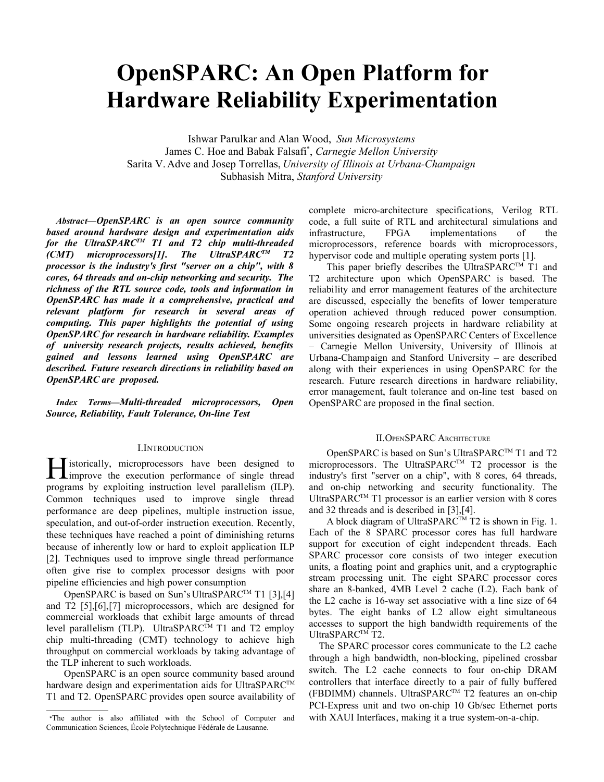# **OpenSPARC: An Open Platform for Hardware Reliability Experimentation**

Ishwar Parulkar and Alan Wood, *Sun Microsystems* James C. Hoe and Babak Falsafi\* , *Carnegie Mellon University* Sarita V. Adve and Josep Torrellas, *University of Illinois at Urbana-Champaign* Subhasish Mitra, *Stanford University*

*Abstract***—***OpenSPARC is an open source community based around hardware design and experimentation aids for the UltraSPARCTM T1 and T2 chip multi-threaded (CMT) microprocessors[1]. The UltraSPARCTM T2 processor is the industry's first "server on a chip", with 8 cores, 64 threads and on-chip networking and security. The richness of the RTL source code, tools and information in OpenSPARC has made it a comprehensive, practical and relevant platform for research in several areas of computing. This paper highlights the potential of using OpenSPARC for research in hardware reliability. Examples of university research projects, results achieved, benefits gained and lessons learned using OpenSPARC are described. Future research directions in reliability based on OpenSPARC are proposed.*

*Index Terms—Multi-threaded microprocessors, Open Source, Reliability, Fault Tolerance, On-line Test*

#### I.INTRODUCTION

**T**istorically, microprocessors have been designed to **H** istorically, microprocessors have been designed to improve the execution performance of single thread programs by exploiting instruction level parallelism (ILP). Common techniques used to improve single thread performance are deep pipelines, multiple instruction issue, speculation, and out-of-order instruction execution. Recently, these techniques have reached a point of diminishing returns because of inherently low or hard to exploit application ILP [2]. Techniques used to improve single thread performance often give rise to complex processor designs with poor pipeline efficiencies and high power consumption

OpenSPARC is based on Sun's UltraSPARC<sup>™</sup> T1 [3],[4] and T2 [5],[6],[7] microprocessors, which are designed for commercial workloads that exhibit large amounts of thread level parallelism (TLP). UltraSPARC<sup>TM</sup> T1 and T2 employ chip multi-threading (CMT) technology to achieve high throughput on commercial workloads by taking advantage of the TLP inherent to such workloads.

OpenSPARC is an open source community based around hardware design and experimentation aids for UltraSPARC<sup>TM</sup> T1 and T2. OpenSPARC provides open source availability of complete micro-architecture specifications, Verilog RTL code, a full suite of RTL and architectural simulations and infrastructure, FPGA implementations of the microprocessors, reference boards with microprocessors, hypervisor code and multiple operating system ports [1].

This paper briefly describes the UltraSPARC<sup>TM</sup> T1 and T2 architecture upon which OpenSPARC is based. The reliability and error management features of the architecture are discussed, especially the benefits of lower temperature operation achieved through reduced power consumption. Some ongoing research projects in hardware reliability at universities designated as OpenSPARC Centers of Excellence – Carnegie Mellon University, University of Illinois at Urbana-Champaign and Stanford University – are described along with their experiences in using OpenSPARC for the research. Future research directions in hardware reliability, error management, fault tolerance and on-line test based on OpenSPARC are proposed in the final section.

#### II.OPENSPARC ARCHITECTURE

OpenSPARC is based on Sun's UltraSPARC<sup>™</sup> T1 and T2 microprocessors. The UltraSPARC™ T2 processor is the industry's first "server on a chip", with 8 cores, 64 threads, and on-chip networking and security functionality. The UltraSPARC™ T1 processor is an earlier version with 8 cores and 32 threads and is described in [3],[4].

A block diagram of UltraSPARC<sup>TM</sup> T2 is shown in Fig. 1. Each of the 8 SPARC processor cores has full hardware support for execution of eight independent threads. Each SPARC processor core consists of two integer execution units, a floating point and graphics unit, and a cryptographic stream processing unit. The eight SPARC processor cores share an 8-banked, 4MB Level 2 cache (L2). Each bank of the L2 cache is 16-way set associative with a line size of 64 bytes. The eight banks of L2 allow eight simultaneous accesses to support the high bandwidth requirements of the UltraSPARC<sup>TM</sup> T2.

The SPARC processor cores communicate to the L2 cache through a high bandwidth, non-blocking, pipelined crossbar switch. The L2 cache connects to four on-chip DRAM controllers that interface directly to a pair of fully buffered (FBDIMM) channels. UltraSPARCTM T2 features an on-chip PCI-Express unit and two on-chip 10 Gb/sec Ethernet ports with XAUI Interfaces, making it a true system-on-a-chip.

The author is also affiliated with the School of Computer and Communication Sciences, École Polytechnique Fédérale de Lausanne.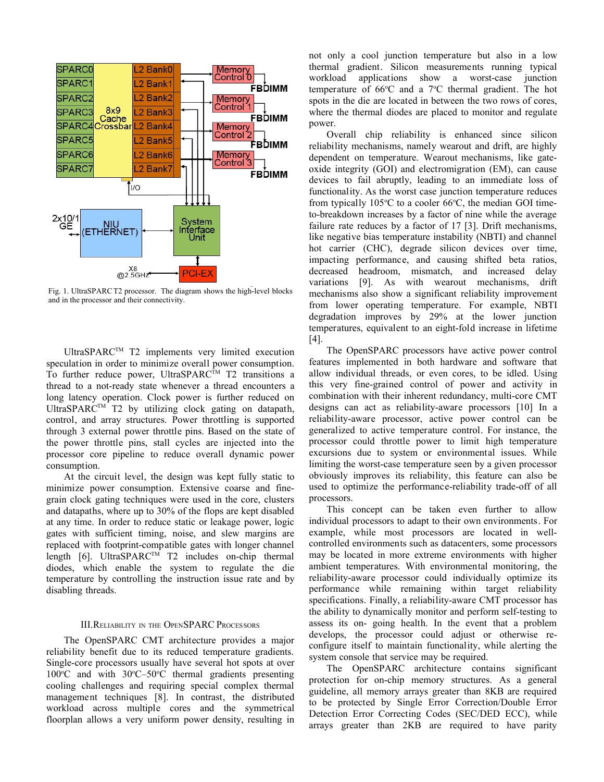

Fig. 1. UltraSPARC T2 processor. The diagram shows the high-level blocks and in the processor and their connectivity.

UltraSPARC<sup>TM</sup> T2 implements very limited execution speculation in order to minimize overall power consumption. To further reduce power, UltraSPARC<sup>TM</sup> T2 transitions a thread to a not-ready state whenever a thread encounters a long latency operation. Clock power is further reduced on UltraSPARC<sup>TM</sup> T2 by utilizing clock gating on datapath, control, and array structures. Power throttling is supported through 3 external power throttle pins. Based on the state of the power throttle pins, stall cycles are injected into the processor core pipeline to reduce overall dynamic power consumption.

At the circuit level, the design was kept fully static to minimize power consumption. Extensive coarse and finegrain clock gating techniques were used in the core, clusters and datapaths, where up to 30% of the flops are kept disabled at any time. In order to reduce static or leakage power, logic gates with sufficient timing, noise, and slew margins are replaced with footprint-compatible gates with longer channel length  $[6]$ . UltraSPARC<sup>TM</sup> T2 includes on-chip thermal diodes, which enable the system to regulate the die temperature by controlling the instruction issue rate and by disabling threads.

### III.RELIABILITY IN THE OPENSPARC PROCESSORS

The OpenSPARC CMT architecture provides a major reliability benefit due to its reduced temperature gradients. Single-core processors usually have several hot spots at over  $100^{\circ}$ C and with  $30^{\circ}$ C-50 $^{\circ}$ C thermal gradients presenting cooling challenges and requiring special complex thermal management techniques [8]. In contrast, the distributed workload across multiple cores and the symmetrical floorplan allows a very uniform power density, resulting in

not only a cool junction temperature but also in a low thermal gradient. Silicon measurements running typical workload applications show a worst-case junction temperature of  $66^{\circ}$ C and a  $7^{\circ}$ C thermal gradient. The hot spots in the die are located in between the two rows of cores, where the thermal diodes are placed to monitor and regulate power.

Overall chip reliability is enhanced since silicon reliability mechanisms, namely wearout and drift, are highly dependent on temperature. Wearout mechanisms, like gateoxide integrity (GOI) and electromigration (EM), can cause devices to fail abruptly, leading to an immediate loss of functionality. As the worst case junction temperature reduces from typically  $105^{\circ}$ C to a cooler 66 $^{\circ}$ C, the median GOI timeto-breakdown increases by a factor of nine while the average failure rate reduces by a factor of 17 [3]. Drift mechanisms, like negative bias temperature instability (NBTI) and channel hot carrier (CHC), degrade silicon devices over time, impacting performance, and causing shifted beta ratios, decreased headroom, mismatch, and increased delay variations [9]. As with wearout mechanisms, drift mechanisms also show a significant reliability improvement from lower operating temperature. For example, NBTI degradation improves by 29% at the lower junction temperatures, equivalent to an eight-fold increase in lifetime [4].

The OpenSPARC processors have active power control features implemented in both hardware and software that allow individual threads, or even cores, to be idled. Using this very fine-grained control of power and activity in combination with their inherent redundancy, multi-core CMT designs can act as reliability-aware processors [10] In a reliability-aware processor, active power control can be generalized to active temperature control. For instance, the processor could throttle power to limit high temperature excursions due to system or environmental issues. While limiting the worst-case temperature seen by a given processor obviously improves its reliability, this feature can also be used to optimize the performance-reliability trade-off of all processors.

This concept can be taken even further to allow individual processors to adapt to their own environments. For example, while most processors are located in wellcontrolled environments such as datacenters, some processors may be located in more extreme environments with higher ambient temperatures. With environmental monitoring, the reliability-aware processor could individually optimize its performance while remaining within target reliability specifications. Finally, a reliability-aware CMT processor has the ability to dynamically monitor and perform self-testing to assess its on- going health. In the event that a problem develops, the processor could adjust or otherwise reconfigure itself to maintain functionality, while alerting the system console that service may be required.

The OpenSPARC architecture contains significant protection for on-chip memory structures. As a general guideline, all memory arrays greater than 8KB are required to be protected by Single Error Correction/Double Error Detection Error Correcting Codes (SEC/DED ECC), while arrays greater than 2KB are required to have parity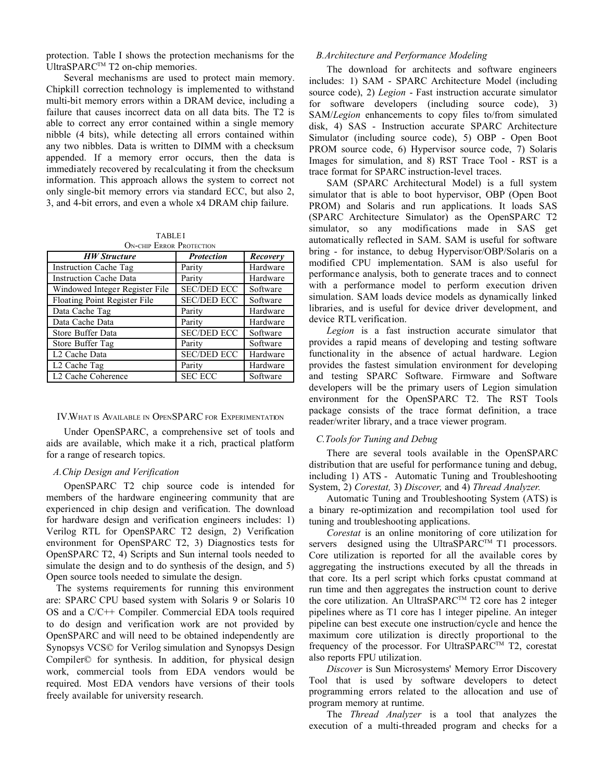protection. Table I shows the protection mechanisms for the UltraSPARC<sup>TM</sup> T2 on-chip memories.

Several mechanisms are used to protect main memory. Chipkill correction technology is implemented to withstand multi-bit memory errors within a DRAM device, including a failure that causes incorrect data on all data bits. The T2 is able to correct any error contained within a single memory nibble (4 bits), while detecting all errors contained within any two nibbles. Data is written to DIMM with a checksum appended. If a memory error occurs, then the data is immediately recovered by recalculating it from the checksum information. This approach allows the system to correct not only single-bit memory errors via standard ECC, but also 2, 3, and 4-bit errors, and even a whole x4 DRAM chip failure.

| <b>TABLEI</b> |  |                             |
|---------------|--|-----------------------------|
|               |  | $OM-C$ uin Ennon Protection |

| <b>HW</b> Structure            | <b>Protection</b>  | Recovery |
|--------------------------------|--------------------|----------|
| <b>Instruction Cache Tag</b>   | Parity             | Hardware |
| <b>Instruction Cache Data</b>  | Parity             | Hardware |
| Windowed Integer Register File | <b>SEC/DED ECC</b> | Software |
| Floating Point Register File   | <b>SEC/DED ECC</b> | Software |
| Data Cache Tag                 | Parity             | Hardware |
| Data Cache Data                | Parity             | Hardware |
| Store Buffer Data              | <b>SEC/DED ECC</b> | Software |
| Store Buffer Tag               | Parity             | Software |
| L <sub>2</sub> Cache Data      | <b>SEC/DED ECC</b> | Hardware |
| L2 Cache Tag                   | Parity             | Hardware |
| L2 Cache Coherence             | <b>SEC ECC</b>     | Software |

#### IV.WHAT IS AVAILABLE IN OPENSPARC FOR EXPERIMENTATION

Under OpenSPARC, a comprehensive set of tools and aids are available, which make it a rich, practical platform for a range of research topics.

## *A.Chip Design and Verification*

OpenSPARC T2 chip source code is intended for members of the hardware engineering community that are experienced in chip design and verification. The download for hardware design and verification engineers includes: 1) Verilog RTL for OpenSPARC T2 design, 2) Verification environment for OpenSPARC T2, 3) Diagnostics tests for OpenSPARC T2, 4) Scripts and Sun internal tools needed to simulate the design and to do synthesis of the design, and 5) Open source tools needed to simulate the design.

The systems requirements for running this environment are: SPARC CPU based system with Solaris 9 or Solaris 10 OS and a C/C++ Compiler. Commercial EDA tools required to do design and verification work are not provided by OpenSPARC and will need to be obtained independently are Synopsys VCS© for Verilog simulation and Synopsys Design Compiler© for synthesis. In addition, for physical design work, commercial tools from EDA vendors would be required. Most EDA vendors have versions of their tools freely available for university research.

## *B.Architecture and Performance Modeling*

The download for architects and software engineers includes: 1) SAM - SPARC Architecture Model (including source code), 2) *Legion* - Fast instruction accurate simulator for software developers (including source code), 3) SAM/*Legion* enhancements to copy files to/from simulated disk, 4) SAS - Instruction accurate SPARC Architecture Simulator (including source code), 5) OBP - Open Boot PROM source code, 6) Hypervisor source code, 7) Solaris Images for simulation, and 8) RST Trace Tool - RST is a trace format for SPARC instruction-level traces.

SAM (SPARC Architectural Model) is a full system simulator that is able to boot hypervisor, OBP (Open Boot PROM) and Solaris and run applications. It loads SAS (SPARC Architecture Simulator) as the OpenSPARC T2 simulator, so any modifications made in SAS get automatically reflected in SAM. SAM is useful for software bring - for instance, to debug Hypervisor/OBP/Solaris on a modified CPU implementation. SAM is also useful for performance analysis, both to generate traces and to connect with a performance model to perform execution driven simulation. SAM loads device models as dynamically linked libraries, and is useful for device driver development, and device RTL verification.

*Legion* is a fast instruction accurate simulator that provides a rapid means of developing and testing software functionality in the absence of actual hardware. Legion provides the fastest simulation environment for developing and testing SPARC Software. Firmware and Software developers will be the primary users of Legion simulation environment for the OpenSPARC T2. The RST Tools package consists of the trace format definition, a trace reader/writer library, and a trace viewer program.

### *C.Tools for Tuning and Debug*

There are several tools available in the OpenSPARC distribution that are useful for performance tuning and debug, including 1) ATS - Automatic Tuning and Troubleshooting System, 2) *Corestat,* 3) *Discover,* and 4) *Thread Analyzer.*

Automatic Tuning and Troubleshooting System (ATS) is a binary re-optimization and recompilation tool used for tuning and troubleshooting applications.

*Corestat* is an online monitoring of core utilization for servers designed using the UltraSPARC<sup>TM</sup> T1 processors. Core utilization is reported for all the available cores by aggregating the instructions executed by all the threads in that core. Its a perl script which forks cpustat command at run time and then aggregates the instruction count to derive the core utilization. An UltraSPARC<sup>™</sup> T2 core has 2 integer pipelines where as T1 core has 1 integer pipeline. An integer pipeline can best execute one instruction/cycle and hence the maximum core utilization is directly proportional to the frequency of the processor. For UltraSPARC™ T2, corestat also reports FPU utilization.

*Discover* is Sun Microsystems' Memory Error Discovery Tool that is used by software developers to detect programming errors related to the allocation and use of program memory at runtime.

The *Thread Analyzer* is a tool that analyzes the execution of a multi-threaded program and checks for a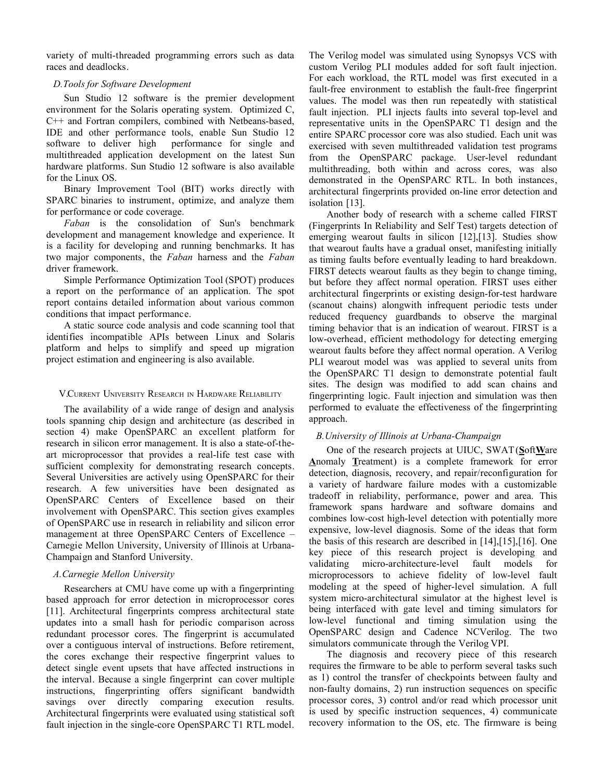variety of multi-threaded programming errors such as data races and deadlocks.

## *D.Tools for Software Development*

Sun Studio 12 software is the premier development environment for the Solaris operating system. Optimized C, C++ and Fortran compilers, combined with Netbeans-based, IDE and other performance tools, enable Sun Studio 12 software to deliver high performance for single and multithreaded application development on the latest Sun hardware platforms. Sun Studio 12 software is also available for the Linux OS.

Binary Improvement Tool (BIT) works directly with SPARC binaries to instrument, optimize, and analyze them for performance or code coverage.

*Faban* is the consolidation of Sun's benchmark development and management knowledge and experience. It is a facility for developing and running benchmarks. It has two major components, the *Faban* harness and the *Faban* driver framework.

Simple Performance Optimization Tool (SPOT) produces a report on the performance of an application. The spot report contains detailed information about various common conditions that impact performance.

A static source code analysis and code scanning tool that identifies incompatible APIs between Linux and Solaris platform and helps to simplify and speed up migration project estimation and engineering is also available.

## V.CURRENT UNIVERSITY RESEARCH IN HARDWARE RELIABILITY

The availability of a wide range of design and analysis tools spanning chip design and architecture (as described in section 4) make OpenSPARC an excellent platform for research in silicon error management. It is also a state-of-theart microprocessor that provides a real-life test case with sufficient complexity for demonstrating research concepts. Several Universities are actively using OpenSPARC for their research. A few universities have been designated as OpenSPARC Centers of Excellence based on their involvement with OpenSPARC. This section gives examples of OpenSPARC use in research in reliability and silicon error management at three OpenSPARC Centers of Excellence – Carnegie Mellon University, University of Illinois at Urbana-Champaign and Stanford University.

# *A.Carnegie Mellon University*

Researchers at CMU have come up with a fingerprinting based approach for error detection in microprocessor cores [11]. Architectural fingerprints compress architectural state updates into a small hash for periodic comparison across redundant processor cores. The fingerprint is accumulated over a contiguous interval of instructions. Before retirement, the cores exchange their respective fingerprint values to detect single event upsets that have affected instructions in the interval. Because a single fingerprint can cover multiple instructions, fingerprinting offers significant bandwidth savings over directly comparing execution results. Architectural fingerprints were evaluated using statistical soft fault injection in the single-core OpenSPARC T1 RTL model.

The Verilog model was simulated using Synopsys VCS with custom Verilog PLI modules added for soft fault injection. For each workload, the RTL model was first executed in a fault-free environment to establish the fault-free fingerprint values. The model was then run repeatedly with statistical fault injection. PLI injects faults into several top-level and representative units in the OpenSPARC T1 design and the entire SPARC processor core was also studied. Each unit was exercised with seven multithreaded validation test programs from the OpenSPARC package. User-level redundant multithreading, both within and across cores, was also demonstrated in the OpenSPARC RTL. In both instances, architectural fingerprints provided on-line error detection and isolation [13].

Another body of research with a scheme called FIRST (Fingerprints In Reliability and Self Test) targets detection of emerging wearout faults in silicon [12],[13]. Studies show that wearout faults have a gradual onset, manifesting initially as timing faults before eventually leading to hard breakdown. FIRST detects wearout faults as they begin to change timing, but before they affect normal operation. FIRST uses either architectural fingerprints or existing design-for-test hardware (scanout chains) alongwith infrequent periodic tests under reduced frequency guardbands to observe the marginal timing behavior that is an indication of wearout. FIRST is a low-overhead, efficient methodology for detecting emerging wearout faults before they affect normal operation. A Verilog PLI wearout model was was applied to several units from the OpenSPARC T1 design to demonstrate potential fault sites. The design was modified to add scan chains and fingerprinting logic. Fault injection and simulation was then performed to evaluate the effectiveness of the fingerprinting approach.

# *B.University of Illinois at Urbana-Champaign*

One of the research projects at UIUC, SWAT (**S**oft**W**are **A**nomaly **T**reatment) is a complete framework for error detection, diagnosis, recovery, and repair/reconfiguration for a variety of hardware failure modes with a customizable tradeoff in reliability, performance, power and area. This framework spans hardware and software domains and combines low-cost high-level detection with potentially more expensive, low-level diagnosis. Some of the ideas that form the basis of this research are described in [14],[15],[16]. One key piece of this research project is developing and validating micro-architecture-level fault models for microprocessors to achieve fidelity of low-level fault modeling at the speed of higher-level simulation. A full system micro-architectural simulator at the highest level is being interfaced with gate level and timing simulators for low-level functional and timing simulation using the OpenSPARC design and Cadence NCVerilog. The two simulators communicate through the Verilog VPI.

The diagnosis and recovery piece of this research requires the firmware to be able to perform several tasks such as 1) control the transfer of checkpoints between faulty and non-faulty domains, 2) run instruction sequences on specific processor cores, 3) control and/or read which processor unit is used by specific instruction sequences, 4) communicate recovery information to the OS, etc. The firmware is being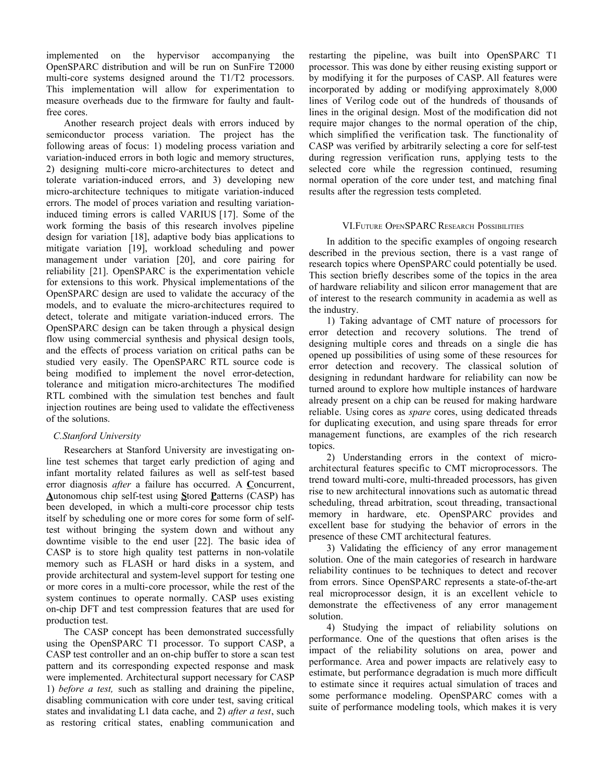implemented on the hypervisor accompanying the OpenSPARC distribution and will be run on SunFire T2000 multi-core systems designed around the T1/T2 processors. This implementation will allow for experimentation to measure overheads due to the firmware for faulty and faultfree cores.

Another research project deals with errors induced by semiconductor process variation. The project has the following areas of focus: 1) modeling process variation and variation-induced errors in both logic and memory structures, 2) designing multi-core micro-architectures to detect and tolerate variation-induced errors, and 3) developing new micro-architecture techniques to mitigate variation-induced errors. The model of proces variation and resulting variationinduced timing errors is called VARIUS [17]. Some of the work forming the basis of this research involves pipeline design for variation [18], adaptive body bias applications to mitigate variation [19], workload scheduling and power management under variation [20], and core pairing for reliability [21]. OpenSPARC is the experimentation vehicle for extensions to this work. Physical implementations of the OpenSPARC design are used to validate the accuracy of the models, and to evaluate the micro-architectures required to detect, tolerate and mitigate variation-induced errors. The OpenSPARC design can be taken through a physical design flow using commercial synthesis and physical design tools, and the effects of process variation on critical paths can be studied very easily. The OpenSPARC RTL source code is being modified to implement the novel error-detection, tolerance and mitigation micro-architectures The modified RTL combined with the simulation test benches and fault injection routines are being used to validate the effectiveness of the solutions.

# *C.Stanford University*

Researchers at Stanford University are investigating online test schemes that target early prediction of aging and infant mortality related failures as well as self-test based error diagnosis *after* a failure has occurred. A **C**oncurrent, **A**utonomous chip self-test using **S**tored **P**atterns (CASP) has been developed, in which a multi-core processor chip tests itself by scheduling one or more cores for some form of selftest without bringing the system down and without any downtime visible to the end user [22]. The basic idea of CASP is to store high quality test patterns in non-volatile memory such as FLASH or hard disks in a system, and provide architectural and system-level support for testing one or more cores in a multi-core processor, while the rest of the system continues to operate normally. CASP uses existing on-chip DFT and test compression features that are used for production test.

The CASP concept has been demonstrated successfully using the OpenSPARC T1 processor. To support CASP, a CASP test controller and an on-chip buffer to store a scan test pattern and its corresponding expected response and mask were implemented. Architectural support necessary for CASP 1) *before a test,* such as stalling and draining the pipeline, disabling communication with core under test, saving critical states and invalidating L1 data cache, and 2) *after a test*, such as restoring critical states, enabling communication and restarting the pipeline, was built into OpenSPARC T1 processor. This was done by either reusing existing support or by modifying it for the purposes of CASP. All features were incorporated by adding or modifying approximately 8,000 lines of Verilog code out of the hundreds of thousands of lines in the original design. Most of the modification did not require major changes to the normal operation of the chip, which simplified the verification task. The functionality of CASP was verified by arbitrarily selecting a core for self-test during regression verification runs, applying tests to the selected core while the regression continued, resuming normal operation of the core under test, and matching final results after the regression tests completed.

## VI.FUTURE OPENSPARC RESEARCH POSSIBILITIES

In addition to the specific examples of ongoing research described in the previous section, there is a vast range of research topics where OpenSPARC could potentially be used. This section briefly describes some of the topics in the area of hardware reliability and silicon error management that are of interest to the research community in academia as well as the industry.

1) Taking advantage of CMT nature of processors for error detection and recovery solutions. The trend of designing multiple cores and threads on a single die has opened up possibilities of using some of these resources for error detection and recovery. The classical solution of designing in redundant hardware for reliability can now be turned around to explore how multiple instances of hardware already present on a chip can be reused for making hardware reliable. Using cores as *spare* cores, using dedicated threads for duplicating execution, and using spare threads for error management functions, are examples of the rich research topics.

2) Understanding errors in the context of microarchitectural features specific to CMT microprocessors. The trend toward multi-core, multi-threaded processors, has given rise to new architectural innovations such as automatic thread scheduling, thread arbitration, scout threading, transactional memory in hardware, etc. OpenSPARC provides and excellent base for studying the behavior of errors in the presence of these CMT architectural features.

3) Validating the efficiency of any error management solution. One of the main categories of research in hardware reliability continues to be techniques to detect and recover from errors. Since OpenSPARC represents a state-of-the-art real microprocessor design, it is an excellent vehicle to demonstrate the effectiveness of any error management solution.

4) Studying the impact of reliability solutions on performance. One of the questions that often arises is the impact of the reliability solutions on area, power and performance. Area and power impacts are relatively easy to estimate, but performance degradation is much more difficult to estimate since it requires actual simulation of traces and some performance modeling. OpenSPARC comes with a suite of performance modeling tools, which makes it is very